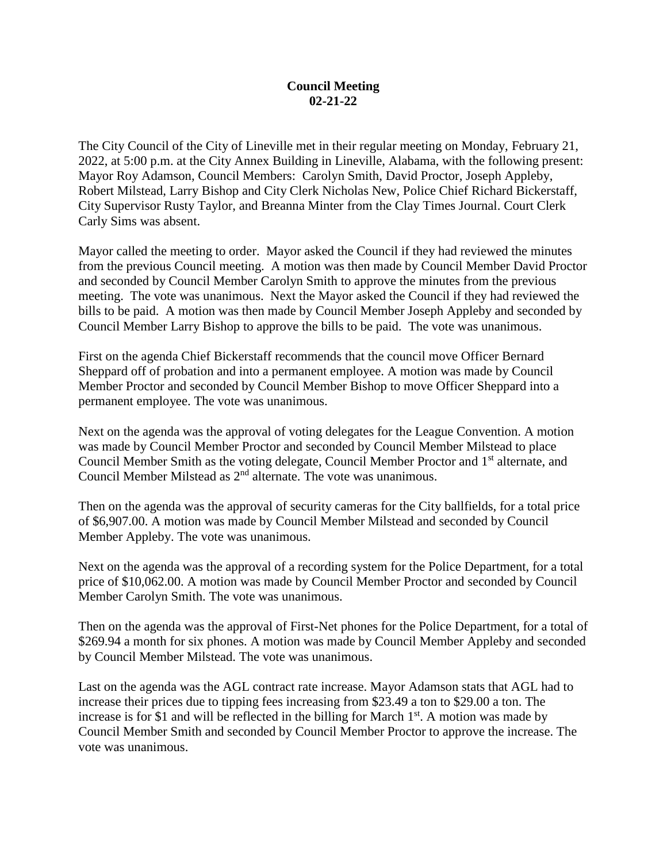## **Council Meeting 02-21-22**

The City Council of the City of Lineville met in their regular meeting on Monday, February 21, 2022, at 5:00 p.m. at the City Annex Building in Lineville, Alabama, with the following present: Mayor Roy Adamson, Council Members: Carolyn Smith, David Proctor, Joseph Appleby, Robert Milstead, Larry Bishop and City Clerk Nicholas New, Police Chief Richard Bickerstaff, City Supervisor Rusty Taylor, and Breanna Minter from the Clay Times Journal. Court Clerk Carly Sims was absent.

Mayor called the meeting to order. Mayor asked the Council if they had reviewed the minutes from the previous Council meeting. A motion was then made by Council Member David Proctor and seconded by Council Member Carolyn Smith to approve the minutes from the previous meeting. The vote was unanimous. Next the Mayor asked the Council if they had reviewed the bills to be paid. A motion was then made by Council Member Joseph Appleby and seconded by Council Member Larry Bishop to approve the bills to be paid. The vote was unanimous.

First on the agenda Chief Bickerstaff recommends that the council move Officer Bernard Sheppard off of probation and into a permanent employee. A motion was made by Council Member Proctor and seconded by Council Member Bishop to move Officer Sheppard into a permanent employee. The vote was unanimous.

Next on the agenda was the approval of voting delegates for the League Convention. A motion was made by Council Member Proctor and seconded by Council Member Milstead to place Council Member Smith as the voting delegate, Council Member Proctor and 1st alternate, and Council Member Milstead as 2nd alternate. The vote was unanimous.

Then on the agenda was the approval of security cameras for the City ballfields, for a total price of \$6,907.00. A motion was made by Council Member Milstead and seconded by Council Member Appleby. The vote was unanimous.

Next on the agenda was the approval of a recording system for the Police Department, for a total price of \$10,062.00. A motion was made by Council Member Proctor and seconded by Council Member Carolyn Smith. The vote was unanimous.

Then on the agenda was the approval of First-Net phones for the Police Department, for a total of \$269.94 a month for six phones. A motion was made by Council Member Appleby and seconded by Council Member Milstead. The vote was unanimous.

Last on the agenda was the AGL contract rate increase. Mayor Adamson stats that AGL had to increase their prices due to tipping fees increasing from \$23.49 a ton to \$29.00 a ton. The increase is for \$1 and will be reflected in the billing for March  $1<sup>st</sup>$ . A motion was made by Council Member Smith and seconded by Council Member Proctor to approve the increase. The vote was unanimous.